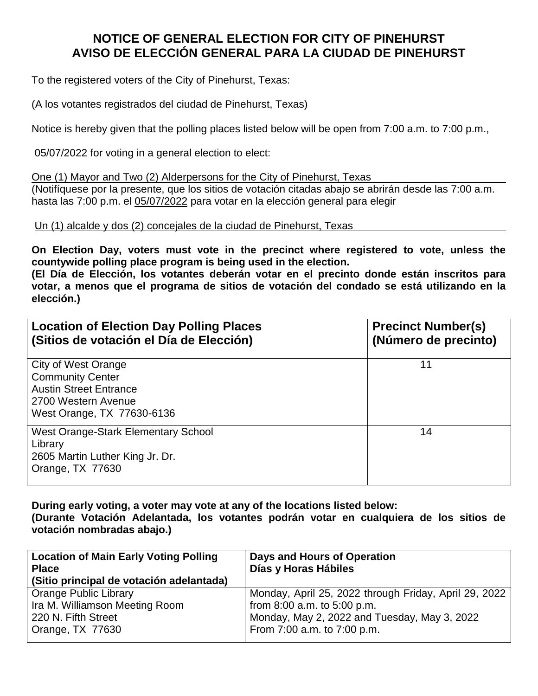## **NOTICE OF GENERAL ELECTION FOR CITY OF PINEHURST AVISO DE ELECCIÓN GENERAL PARA LA CIUDAD DE PINEHURST**

To the registered voters of the City of Pinehurst, Texas:

(A los votantes registrados del ciudad de Pinehurst, Texas)

Notice is hereby given that the polling places listed below will be open from 7:00 a.m. to 7:00 p.m.,

05/07/2022 for voting in a general election to elect:

One (1) Mayor and Two (2) Alderpersons for the City of Pinehurst, Texas (Notifíquese por la presente, que los sitios de votación citadas abajo se abrirán desde las 7:00 a.m.

hasta las 7:00 p.m. el 05/07/2022 para votar en la elección general para elegir

Un (1) alcalde y dos (2) concejales de la ciudad de Pinehurst, Texas

**On Election Day, voters must vote in the precinct where registered to vote, unless the countywide polling place program is being used in the election.** 

**(El Día de Elección, los votantes deberán votar en el precinto donde están inscritos para votar, a menos que el programa de sitios de votación del condado se está utilizando en la elección.)**

| <b>Location of Election Day Polling Places</b><br>(Sitios de votación el Día de Elección)                                            | <b>Precinct Number(s)</b><br>(Número de precinto) |
|--------------------------------------------------------------------------------------------------------------------------------------|---------------------------------------------------|
| City of West Orange<br><b>Community Center</b><br><b>Austin Street Entrance</b><br>2700 Western Avenue<br>West Orange, TX 77630-6136 | 11                                                |
| West Orange-Stark Elementary School<br>Library<br>2605 Martin Luther King Jr. Dr.<br>Orange, TX 77630                                | 14                                                |

**During early voting, a voter may vote at any of the locations listed below: (Durante Votación Adelantada, los votantes podrán votar en cualquiera de los sitios de votación nombradas abajo.)**

| <b>Location of Main Early Voting Polling</b><br><b>Place</b><br>(Sitio principal de votación adelantada) | Days and Hours of Operation<br>Días y Horas Hábiles   |
|----------------------------------------------------------------------------------------------------------|-------------------------------------------------------|
| <b>Orange Public Library</b>                                                                             | Monday, April 25, 2022 through Friday, April 29, 2022 |
| Ira M. Williamson Meeting Room                                                                           | from $8:00$ a.m. to $5:00$ p.m.                       |
| 220 N. Fifth Street                                                                                      | Monday, May 2, 2022 and Tuesday, May 3, 2022          |
| Orange, $TX$ 77630                                                                                       | From 7:00 a.m. to 7:00 p.m.                           |